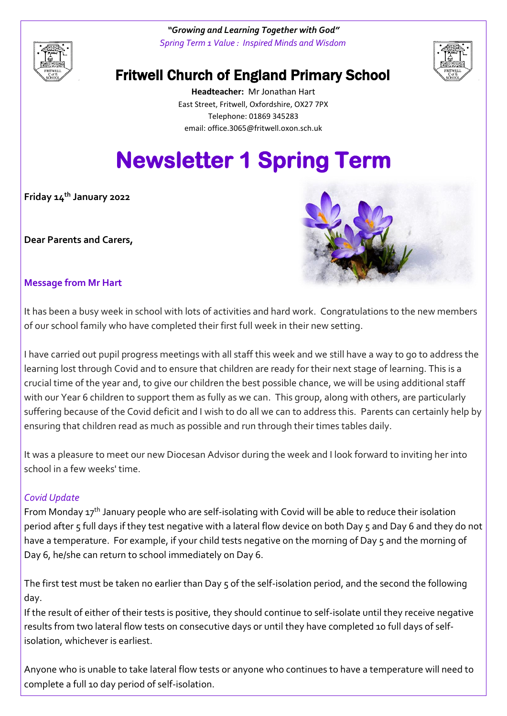

*"Growing and Learning Together with God" Spring Term 1 Value : Inspired Minds and Wisdom*



# Fritwell Church of England Primary School

**Headteacher:** Mr Jonathan Hart East Street, Fritwell, Oxfordshire, OX27 7PX Telephone: 01869 345283 [email: office.3065@f](mailto:email:%20office.3065@)ritwell.oxon.sch.uk

# **Newsletter 1 Spring Term**

**Friday 14th January 2022**

**Dear Parents and Carers,**



#### **Message from Mr Hart**

It has been a busy week in school with lots of activities and hard work. Congratulations to the new members of our school family who have completed their first full week in their new setting.

I have carried out pupil progress meetings with all staff this week and we still have a way to go to address the learning lost through Covid and to ensure that children are ready for their next stage of learning. This is a crucial time of the year and, to give our children the best possible chance, we will be using additional staff with our Year 6 children to support them as fully as we can. This group, along with others, are particularly suffering because of the Covid deficit and I wish to do all we can to address this. Parents can certainly help by ensuring that children read as much as possible and run through their times tables daily.

It was a pleasure to meet our new Diocesan Advisor during the week and I look forward to inviting her into school in a few weeks' time.

#### *Covid Update*

From Monday 17<sup>th</sup> January people who are self-isolating with Covid will be able to reduce their isolation period after 5 full days if they test negative with a lateral flow device on both Day 5 and Day 6 and they do not have a temperature. For example, if your child tests negative on the morning of Day 5 and the morning of Day 6, he/she can return to school immediately on Day 6.

The first test must be taken no earlier than Day 5 of the self-isolation period, and the second the following day.

If the result of either of their tests is positive, they should continue to self-isolate until they receive negative results from two lateral flow tests on consecutive days or until they have completed 10 full days of selfisolation, whichever is earliest.

Anyone who is unable to take lateral flow tests or anyone who continues to have a temperature will need to complete a full 10 day period of self-isolation.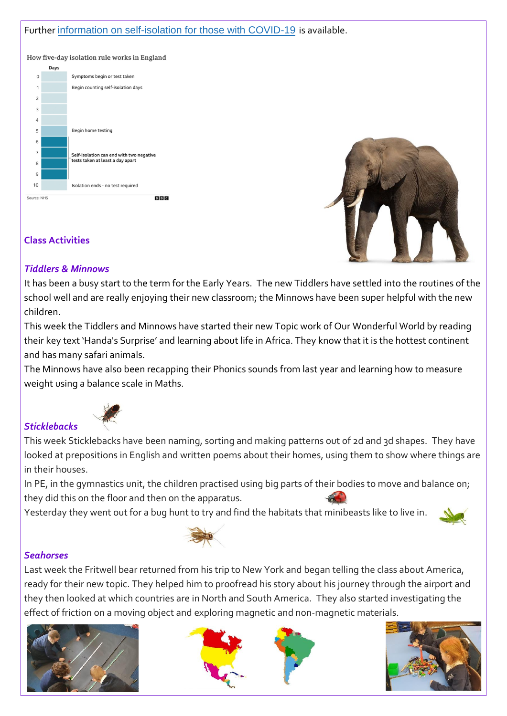#### Further [information on self-isolation for those with COVID-19](https://www.gov.uk/government/news/self-isolation-for-those-with-covid-19-can-end-after-five-full-days-following-two-negative-lfd-tests?utm_source=14%20January%202022%20C19&utm_medium=Daily%20Email%20C19&utm_campaign=DfE%20C19) is available.

How five-day isolation rule works in England





### **Class Activities**

#### *Tiddlers & Minnows*

It has been a busy start to the term for the Early Years. The new Tiddlers have settled into the routines of the school well and are really enjoying their new classroom; the Minnows have been super helpful with the new children.

This week the Tiddlers and Minnows have started their new Topic work of Our Wonderful World by reading their key text 'Handa's Surprise' and learning about life in Africa. They know that it is the hottest continent and has many safari animals.

The Minnows have also been recapping their Phonics sounds from last year and learning how to measure weight using a balance scale in Maths.

## *Sticklebacks*



This week Sticklebacks have been naming, sorting and making patterns out of 2d and 3d shapes. They have looked at prepositions in English and written poems about their homes, using them to show where things are in their houses.

In PE, in the gymnastics unit, the children practised using big parts of their bodies to move and balance on; they did this on the floor and then on the apparatus.

Yesterday they went out for a bug hunt to try and find the habitats that minibeasts like to live in.





#### *Seahorses*

Last week the Fritwell bear returned from his trip to New York and began telling the class about America, ready for their new topic. They helped him to proofread his story about his journey through the airport and they then looked at which countries are in North and South America. They also started investigating the effect of friction on a moving object and exploring magnetic and non-magnetic materials.







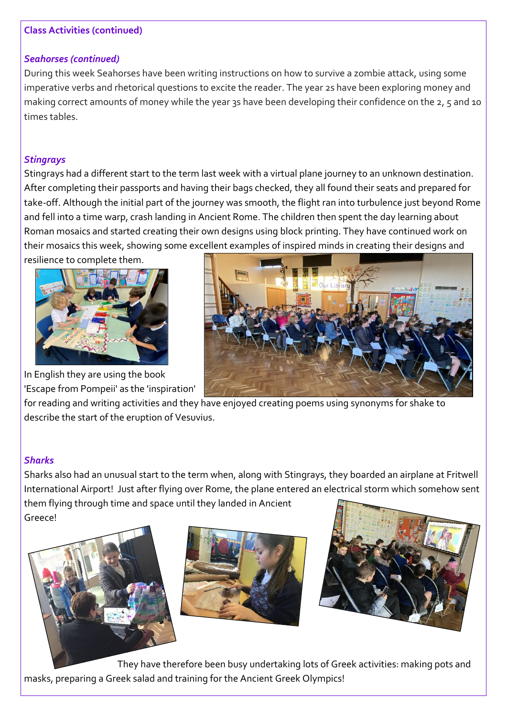#### **Class Activities (continued)**

#### *Seahorses (continued)*

During this week Seahorses have been writing instructions on how to survive a zombie attack, using some imperative verbs and rhetorical questions to excite the reader. The year 2s have been exploring money and making correct amounts of money while the year 3s have been developing their confidence on the 2, 5 and 10 times tables.

#### *Stingrays*

Stingrays had a different start to the term last week with a virtual plane journey to an unknown destination. After completing their passports and having their bags checked, they all found their seats and prepared for take-off. Although the initial part of the journey was smooth, the flight ran into turbulence just beyond Rome and fell into a time warp, crash landing in Ancient Rome. The children then spent the day learning about Roman mosaics and started creating their own designs using block printing. They have continued work on their mosaics this week, showing some excellent examples of inspired minds in creating their designs and resilience to complete them.



In English they are using the book 'Escape from Pompeii' as the 'inspiration'



for reading and writing activities and they have enjoyed creating poems using synonyms for shake to describe the start of the eruption of Vesuvius.

#### *Sharks*

Sharks also had an unusual start to the term when, along with Stingrays, they boarded an airplane at Fritwell International Airport! Just after flying over Rome, the plane entered an electrical storm which somehow sent them flying through time and space until they landed in Ancient Greece!







They have therefore been busy undertaking lots of Greek activities: making pots and masks, preparing a Greek salad and training for the Ancient Greek Olympics!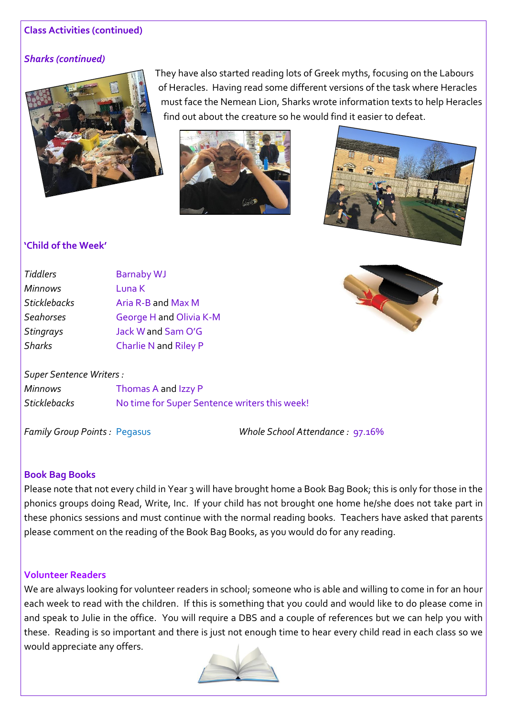#### **Class Activities (continued)**

#### *Sharks (continued)*



They have also started reading lots of Greek myths, focusing on the Labours of Heracles. Having read some different versions of the task where Heracles must face the Nemean Lion, Sharks wrote information texts to help Heracles find out about the creature so he would find it easier to defeat.





#### **'Child of the Week'**

| <b>Tiddlers</b>     | <b>Barnaby WJ</b>       |
|---------------------|-------------------------|
| <b>Minnows</b>      | Luna K                  |
| <b>Sticklebacks</b> | Aria R-B and Max M      |
| <b>Seahorses</b>    | George H and Olivia K-M |
| <b>Stingrays</b>    | Jack W and Sam O'G      |
| <b>Sharks</b>       | Charlie N and Riley P   |

#### *Super Sentence Writers :*

*Minnows* Thomas A and Izzy P *Sticklebacks* No time for Super Sentence writers this week!

*Family Group Points :* Pegasus *Whole School Attendance :* 97.16%

#### **Book Bag Books**

Please note that not every child in Year 3 will have brought home a Book Bag Book; this is only for those in the phonics groups doing Read, Write, Inc. If your child has not brought one home he/she does not take part in these phonics sessions and must continue with the normal reading books. Teachers have asked that parents please comment on the reading of the Book Bag Books, as you would do for any reading.

#### **Volunteer Readers**

We are always looking for volunteer readers in school; someone who is able and willing to come in for an hour each week to read with the children. If this is something that you could and would like to do please come in and speak to Julie in the office. You will require a DBS and a couple of references but we can help you with these. Reading is so important and there is just not enough time to hear every child read in each class so we would appreciate any offers.

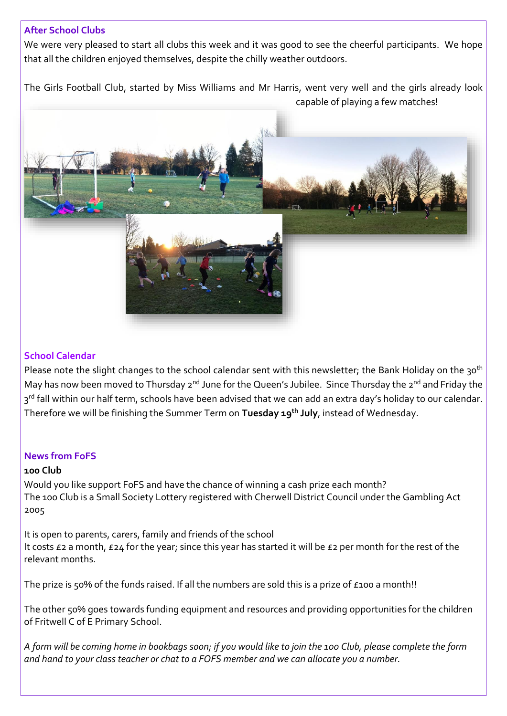#### **After School Clubs**

We were very pleased to start all clubs this week and it was good to see the cheerful participants. We hope that all the children enjoyed themselves, despite the chilly weather outdoors.

The Girls Football Club, started by Miss Williams and Mr Harris, went very well and the girls already look capable of playing a few matches!



#### **School Calendar**

Please note the slight changes to the school calendar sent with this newsletter; the Bank Holiday on the 30<sup>th</sup> May has now been moved to Thursday 2<sup>nd</sup> June for the Queen's Jubilee. Since Thursday the 2<sup>nd</sup> and Friday the 3<sup>rd</sup> fall within our half term, schools have been advised that we can add an extra day's holiday to our calendar. Therefore we will be finishing the Summer Term on **Tuesday 19th July**, instead of Wednesday.

#### **News from FoFS**

#### **100 Club**

Would you like support FoFS and have the chance of winning a cash prize each month? The 100 Club is a Small Society Lottery registered with Cherwell District Council under the Gambling Act 2005

It is open to parents, carers, family and friends of the school It costs £2 a month, £24 for the year; since this year has started it will be £2 per month for the rest of the relevant months.

The prize is 50% of the funds raised. If all the numbers are sold this is a prize of £100 a month!!

The other 50% goes towards funding equipment and resources and providing opportunities for the children of Fritwell C of E Primary School.

*A form will be coming home in bookbags soon; if you would like to join the 100 Club, please complete the form and hand to your class teacher or chat to a FOFS member and we can allocate you a number.*